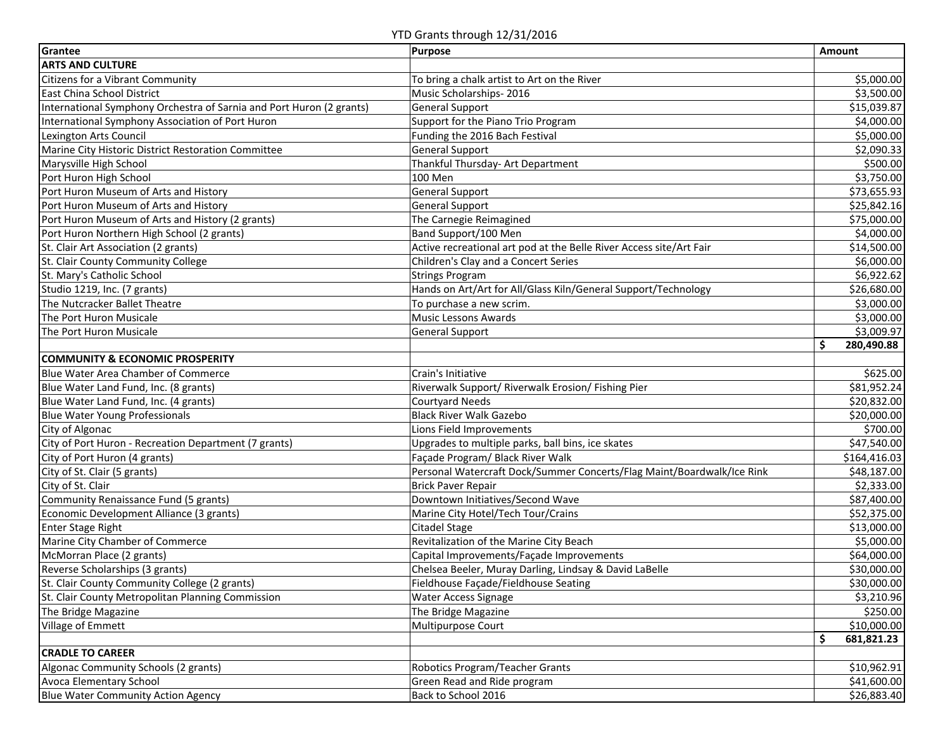YTD Grants through 12/31/2016

| Grantee                                                              | Purpose                                                                | Amount           |
|----------------------------------------------------------------------|------------------------------------------------------------------------|------------------|
| <b>ARTS AND CULTURE</b>                                              |                                                                        |                  |
| Citizens for a Vibrant Community                                     | To bring a chalk artist to Art on the River                            | \$5,000.00       |
| East China School District                                           | Music Scholarships-2016                                                | \$3,500.00       |
| International Symphony Orchestra of Sarnia and Port Huron (2 grants) | <b>General Support</b>                                                 | \$15,039.87      |
| International Symphony Association of Port Huron                     | Support for the Piano Trio Program                                     | \$4,000.00       |
| Lexington Arts Council                                               | Funding the 2016 Bach Festival                                         | \$5,000.00       |
| Marine City Historic District Restoration Committee                  | <b>General Support</b>                                                 | \$2,090.33       |
| Marysville High School                                               | Thankful Thursday- Art Department                                      | \$500.00         |
| Port Huron High School                                               | 100 Men                                                                | \$3,750.00       |
| Port Huron Museum of Arts and History                                | <b>General Support</b>                                                 | \$73,655.93      |
| Port Huron Museum of Arts and History                                | <b>General Support</b>                                                 | \$25,842.16      |
| Port Huron Museum of Arts and History (2 grants)                     | The Carnegie Reimagined                                                | \$75,000.00      |
| Port Huron Northern High School (2 grants)                           | Band Support/100 Men                                                   | \$4,000.00       |
| St. Clair Art Association (2 grants)                                 | Active recreational art pod at the Belle River Access site/Art Fair    | \$14,500.00      |
| St. Clair County Community College                                   | Children's Clay and a Concert Series                                   | \$6,000.00       |
| St. Mary's Catholic School                                           | <b>Strings Program</b>                                                 | \$6,922.62       |
| Studio 1219, Inc. (7 grants)                                         | Hands on Art/Art for All/Glass Kiln/General Support/Technology         | \$26,680.00      |
| The Nutcracker Ballet Theatre                                        | To purchase a new scrim.                                               | \$3,000.00       |
| The Port Huron Musicale                                              | <b>Music Lessons Awards</b>                                            | \$3,000.00       |
| The Port Huron Musicale                                              | <b>General Support</b>                                                 | \$3,009.97       |
|                                                                      |                                                                        | Ś<br>280,490.88  |
| <b>COMMUNITY &amp; ECONOMIC PROSPERITY</b>                           |                                                                        |                  |
| <b>Blue Water Area Chamber of Commerce</b>                           | Crain's Initiative                                                     | \$625.00         |
| Blue Water Land Fund, Inc. (8 grants)                                | Riverwalk Support/ Riverwalk Erosion/ Fishing Pier                     | \$81,952.24      |
| Blue Water Land Fund, Inc. (4 grants)                                | <b>Courtyard Needs</b>                                                 | \$20,832.00      |
| <b>Blue Water Young Professionals</b>                                | <b>Black River Walk Gazebo</b>                                         | \$20,000.00      |
| City of Algonac                                                      | Lions Field Improvements                                               | \$700.00         |
| City of Port Huron - Recreation Department (7 grants)                | Upgrades to multiple parks, ball bins, ice skates                      | \$47,540.00      |
| City of Port Huron (4 grants)                                        | Façade Program/ Black River Walk                                       | \$164,416.03     |
| City of St. Clair (5 grants)                                         | Personal Watercraft Dock/Summer Concerts/Flag Maint/Boardwalk/Ice Rink | \$48,187.00      |
| City of St. Clair                                                    | <b>Brick Paver Repair</b>                                              | \$2,333.00       |
| Community Renaissance Fund (5 grants)                                | Downtown Initiatives/Second Wave                                       | \$87,400.00      |
| Economic Development Alliance (3 grants)                             | Marine City Hotel/Tech Tour/Crains                                     | \$52,375.00      |
| <b>Enter Stage Right</b>                                             | Citadel Stage                                                          | \$13,000.00      |
| Marine City Chamber of Commerce                                      | Revitalization of the Marine City Beach                                | \$5,000.00       |
| McMorran Place (2 grants)                                            | Capital Improvements/Façade Improvements                               | \$64,000.00      |
| Reverse Scholarships (3 grants)                                      | Chelsea Beeler, Muray Darling, Lindsay & David LaBelle                 | \$30,000.00      |
| St. Clair County Community College (2 grants)                        | Fieldhouse Façade/Fieldhouse Seating                                   | \$30,000.00      |
| St. Clair County Metropolitan Planning Commission                    | Water Access Signage                                                   | \$3,210.96       |
| The Bridge Magazine                                                  | The Bridge Magazine                                                    | \$250.00         |
| Village of Emmett                                                    | Multipurpose Court                                                     | \$10,000.00      |
|                                                                      |                                                                        | 681,821.23<br>\$ |
| <b>CRADLE TO CAREER</b>                                              |                                                                        |                  |
| Algonac Community Schools (2 grants)                                 | Robotics Program/Teacher Grants                                        | \$10,962.91      |
| Avoca Elementary School                                              | Green Read and Ride program                                            | \$41,600.00      |
| <b>Blue Water Community Action Agency</b>                            | Back to School 2016                                                    | \$26,883.40      |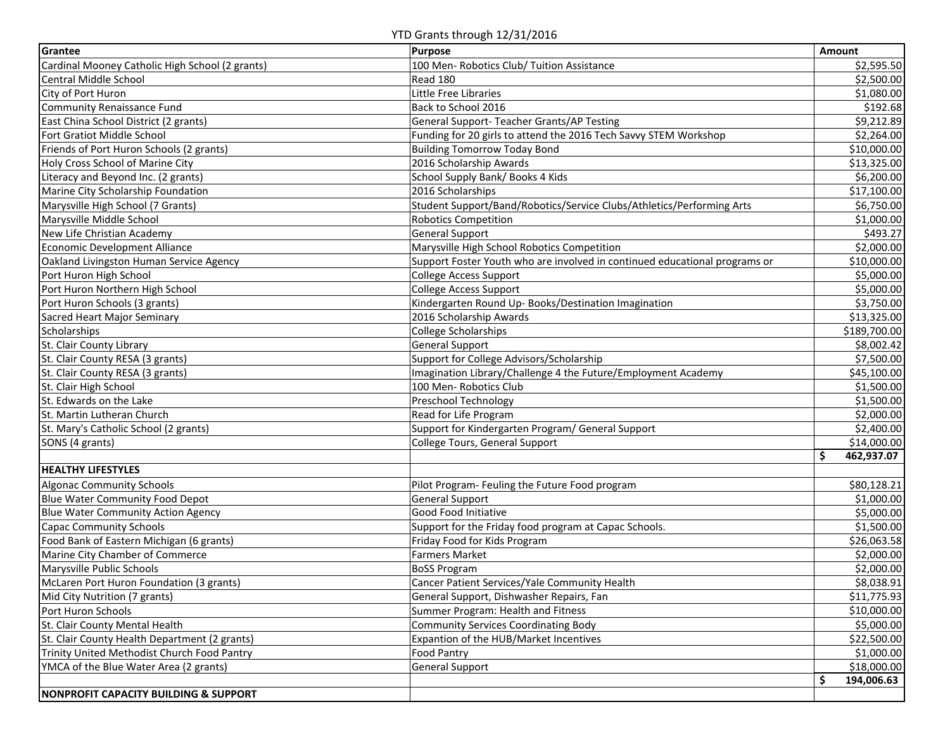YTD Grants through 12/31/2016

| Grantee                                          | Purpose                                                                    | Amount           |
|--------------------------------------------------|----------------------------------------------------------------------------|------------------|
| Cardinal Mooney Catholic High School (2 grants)  | 100 Men- Robotics Club/ Tuition Assistance                                 | \$2,595.50       |
| <b>Central Middle School</b>                     | Read 180                                                                   | \$2,500.00       |
| City of Port Huron                               | Little Free Libraries                                                      | \$1,080.00       |
| Community Renaissance Fund                       | Back to School 2016                                                        | \$192.68         |
| East China School District (2 grants)            | General Support- Teacher Grants/AP Testing                                 | \$9,212.89       |
| Fort Gratiot Middle School                       | Funding for 20 girls to attend the 2016 Tech Savvy STEM Workshop           | \$2,264.00       |
| Friends of Port Huron Schools (2 grants)         | <b>Building Tomorrow Today Bond</b>                                        | \$10,000.00      |
| Holy Cross School of Marine City                 | 2016 Scholarship Awards                                                    | \$13,325.00      |
| Literacy and Beyond Inc. (2 grants)              | School Supply Bank/ Books 4 Kids                                           | \$6,200.00       |
| Marine City Scholarship Foundation               | 2016 Scholarships                                                          | \$17,100.00      |
| Marysville High School (7 Grants)                | Student Support/Band/Robotics/Service Clubs/Athletics/Performing Arts      | \$6,750.00       |
| Marysville Middle School                         | <b>Robotics Competition</b>                                                | \$1,000.00       |
| New Life Christian Academy                       | <b>General Support</b>                                                     | \$493.27         |
| <b>Economic Development Alliance</b>             | Marysville High School Robotics Competition                                | \$2,000.00       |
| Oakland Livingston Human Service Agency          | Support Foster Youth who are involved in continued educational programs or | \$10,000.00      |
| Port Huron High School                           | <b>College Access Support</b>                                              | \$5,000.00       |
| Port Huron Northern High School                  | <b>College Access Support</b>                                              | \$5,000.00       |
| Port Huron Schools (3 grants)                    | Kindergarten Round Up- Books/Destination Imagination                       | \$3,750.00       |
| Sacred Heart Major Seminary                      | 2016 Scholarship Awards                                                    | \$13,325.00      |
| Scholarships                                     | <b>College Scholarships</b>                                                | \$189,700.00     |
| St. Clair County Library                         | <b>General Support</b>                                                     | \$8,002.42       |
| St. Clair County RESA (3 grants)                 | Support for College Advisors/Scholarship                                   | \$7,500.00       |
| St. Clair County RESA (3 grants)                 | Imagination Library/Challenge 4 the Future/Employment Academy              | \$45,100.00      |
| St. Clair High School                            | 100 Men-Robotics Club                                                      | \$1,500.00       |
| St. Edwards on the Lake                          | Preschool Technology                                                       | \$1,500.00       |
| St. Martin Lutheran Church                       | Read for Life Program                                                      | \$2,000.00       |
| St. Mary's Catholic School (2 grants)            | Support for Kindergarten Program/ General Support                          | \$2,400.00       |
| SONS (4 grants)                                  | College Tours, General Support                                             | \$14,000.00      |
|                                                  |                                                                            | \$<br>462,937.07 |
| <b>HEALTHY LIFESTYLES</b>                        |                                                                            |                  |
| <b>Algonac Community Schools</b>                 | Pilot Program- Feuling the Future Food program                             | \$80,128.21      |
| Blue Water Community Food Depot                  | <b>General Support</b>                                                     | \$1,000.00       |
| <b>Blue Water Community Action Agency</b>        | Good Food Initiative                                                       | \$5,000.00       |
| <b>Capac Community Schools</b>                   | Support for the Friday food program at Capac Schools.                      | \$1,500.00       |
| Food Bank of Eastern Michigan (6 grants)         | Friday Food for Kids Program                                               | \$26,063.58      |
| Marine City Chamber of Commerce                  | <b>Farmers Market</b>                                                      | \$2,000.00       |
| Marysville Public Schools                        | <b>BoSS Program</b>                                                        | \$2,000.00       |
| McLaren Port Huron Foundation (3 grants)         | Cancer Patient Services/Yale Community Health                              | \$8,038.91       |
| Mid City Nutrition (7 grants)                    | General Support, Dishwasher Repairs, Fan                                   | \$11,775.93      |
| Port Huron Schools                               | Summer Program: Health and Fitness                                         | \$10,000.00      |
| St. Clair County Mental Health                   | <b>Community Services Coordinating Body</b>                                | \$5,000.00       |
| St. Clair County Health Department (2 grants)    | Expantion of the HUB/Market Incentives                                     | \$22,500.00      |
| Trinity United Methodist Church Food Pantry      | Food Pantry                                                                | \$1,000.00       |
| YMCA of the Blue Water Area (2 grants)           | <b>General Support</b>                                                     | \$18,000.00      |
|                                                  |                                                                            | \$<br>194,006.63 |
| <b>NONPROFIT CAPACITY BUILDING &amp; SUPPORT</b> |                                                                            |                  |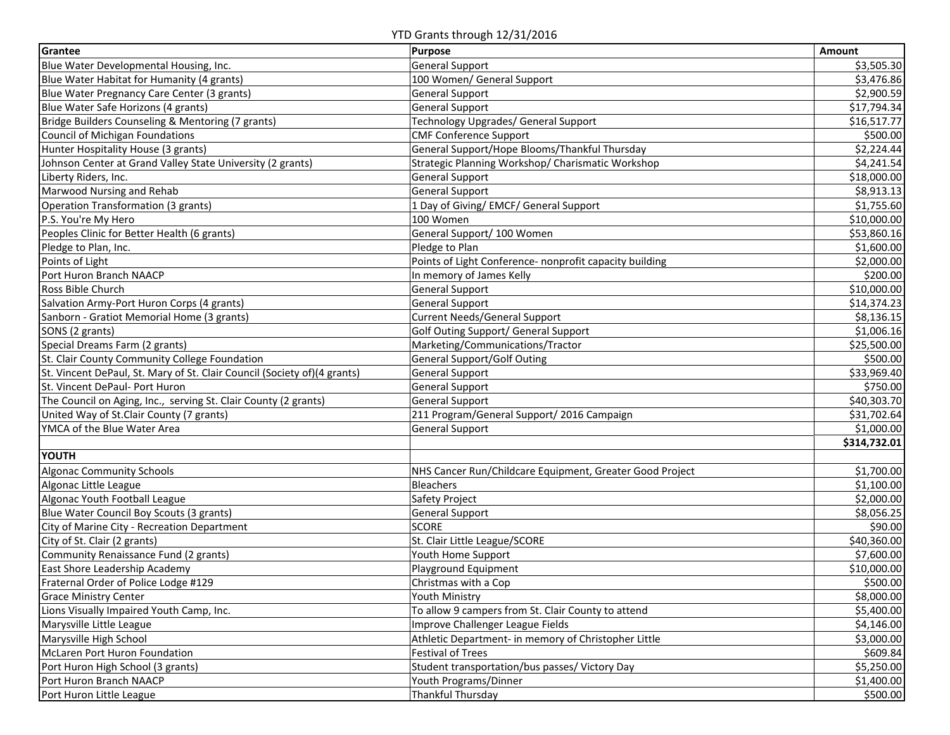YTD Grants through 12/31/2016

| Grantee                                                                   | Purpose                                                  | Amount       |
|---------------------------------------------------------------------------|----------------------------------------------------------|--------------|
| Blue Water Developmental Housing, Inc.                                    | <b>General Support</b>                                   | \$3,505.30   |
| Blue Water Habitat for Humanity (4 grants)                                | 100 Women/ General Support                               | \$3,476.86   |
| Blue Water Pregnancy Care Center (3 grants)                               | <b>General Support</b>                                   | \$2,900.59   |
| Blue Water Safe Horizons (4 grants)                                       | <b>General Support</b>                                   | \$17,794.34  |
| Bridge Builders Counseling & Mentoring (7 grants)                         | Technology Upgrades/ General Support                     | \$16,517.77  |
| Council of Michigan Foundations                                           | CMF Conference Support                                   | \$500.00     |
| Hunter Hospitality House (3 grants)                                       | General Support/Hope Blooms/Thankful Thursday            | \$2,224.44   |
| Johnson Center at Grand Valley State University (2 grants)                | Strategic Planning Workshop/ Charismatic Workshop        | \$4,241.54   |
| Liberty Riders, Inc.                                                      | <b>General Support</b>                                   | \$18,000.00  |
| Marwood Nursing and Rehab                                                 | <b>General Support</b>                                   | \$8,913.13   |
| Operation Transformation (3 grants)                                       | 1 Day of Giving/ EMCF/ General Support                   | \$1,755.60   |
| P.S. You're My Hero                                                       | 100 Women                                                | \$10,000.00  |
| Peoples Clinic for Better Health (6 grants)                               | General Support/ 100 Women                               | \$53,860.16  |
| Pledge to Plan, Inc.                                                      | Pledge to Plan                                           | \$1,600.00   |
| Points of Light                                                           | Points of Light Conference- nonprofit capacity building  | \$2,000.00   |
| Port Huron Branch NAACP                                                   | In memory of James Kelly                                 | \$200.00     |
| Ross Bible Church                                                         | <b>General Support</b>                                   | \$10,000.00  |
| Salvation Army-Port Huron Corps (4 grants)                                | <b>General Support</b>                                   | \$14,374.23  |
| Sanborn - Gratiot Memorial Home (3 grants)                                | <b>Current Needs/General Support</b>                     | \$8,136.15   |
| SONS (2 grants)                                                           | Golf Outing Support/ General Support                     | \$1,006.16   |
| Special Dreams Farm (2 grants)                                            | Marketing/Communications/Tractor                         | \$25,500.00  |
| St. Clair County Community College Foundation                             | <b>General Support/Golf Outing</b>                       | \$500.00     |
| St. Vincent DePaul, St. Mary of St. Clair Council (Society of) (4 grants) | <b>General Support</b>                                   | \$33,969.40  |
| St. Vincent DePaul- Port Huron                                            | <b>General Support</b>                                   | \$750.00     |
| The Council on Aging, Inc., serving St. Clair County (2 grants)           | <b>General Support</b>                                   | \$40,303.70  |
| United Way of St.Clair County (7 grants)                                  | 211 Program/General Support/ 2016 Campaign               | \$31,702.64  |
| YMCA of the Blue Water Area                                               | <b>General Support</b>                                   | \$1,000.00   |
|                                                                           |                                                          | \$314,732.01 |
| <b>YOUTH</b>                                                              |                                                          |              |
| <b>Algonac Community Schools</b>                                          | NHS Cancer Run/Childcare Equipment, Greater Good Project | \$1,700.00   |
| Algonac Little League                                                     | Bleachers                                                | \$1,100.00   |
| Algonac Youth Football League                                             | Safety Project                                           | \$2,000.00   |
| Blue Water Council Boy Scouts (3 grants)                                  | <b>General Support</b>                                   | \$8,056.25   |
| City of Marine City - Recreation Department                               | <b>SCORE</b>                                             | \$90.00      |
| City of St. Clair (2 grants)                                              | St. Clair Little League/SCORE                            | \$40,360.00  |
| Community Renaissance Fund (2 grants)                                     | Youth Home Support                                       | \$7,600.00   |
| East Shore Leadership Academy                                             | Playground Equipment                                     | \$10,000.00  |
| Fraternal Order of Police Lodge #129                                      | Christmas with a Cop                                     | \$500.00     |
| <b>Grace Ministry Center</b>                                              | Youth Ministry                                           | \$8,000.00   |
| Lions Visually Impaired Youth Camp, Inc.                                  | To allow 9 campers from St. Clair County to attend       | \$5,400.00   |
| Marysville Little League                                                  | Improve Challenger League Fields                         | \$4,146.00   |
| Marysville High School                                                    | Athletic Department- in memory of Christopher Little     | \$3,000.00   |
| McLaren Port Huron Foundation                                             | Festival of Trees                                        | \$609.84     |
| Port Huron High School (3 grants)                                         | Student transportation/bus passes/ Victory Day           | \$5,250.00   |
| Port Huron Branch NAACP                                                   | Youth Programs/Dinner                                    | \$1,400.00   |
| Port Huron Little League                                                  | Thankful Thursday                                        | \$500.00     |